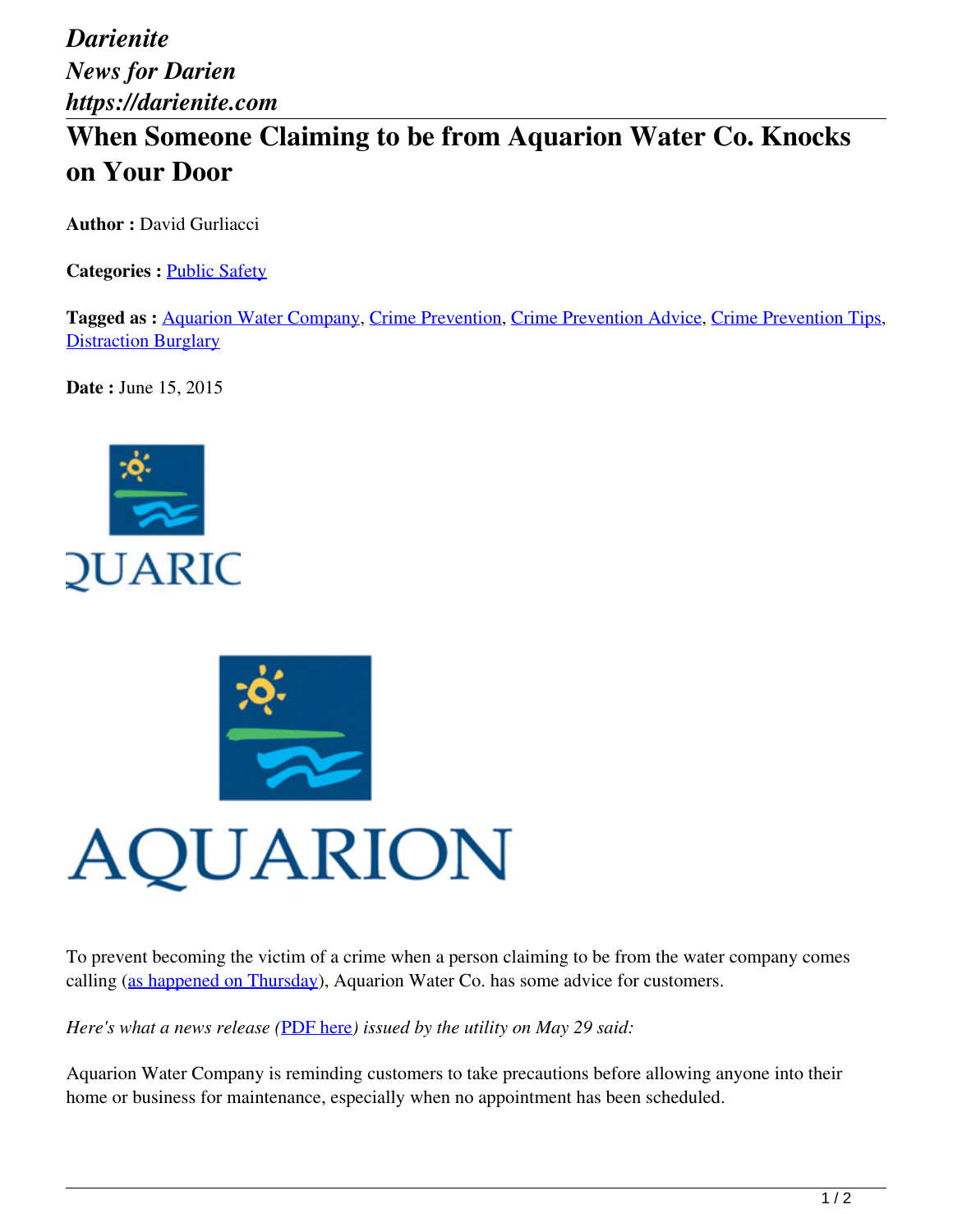*Darienite News for Darien https://darienite.com*

## **When Someone Claiming to be from Aquarion Water Co. Knocks on Your Door**

**Author :** David Gurliacci

**Categories :** [Public Safety](https://darienite.com/category/news/police-fire)

**Tagged as :** Aquarion Water Company, Crime Prevention, Crime Prevention Advice, Crime Prevention Tips, **Distraction Burglary** 

**Date :** June 15, 2015





To prevent becoming the victim of a crime when a person claiming to be from the water company comes calling (as happened on Thursday), Aquarion Water Co. has some advice for customers.

*Here's what a news release (*PDF here*) issued by the utility on May 29 said:*

Aquarion Water Company is reminding customers to take precautions before allowing anyone into their home or business for maintenance, especially when no appointment has been scheduled.